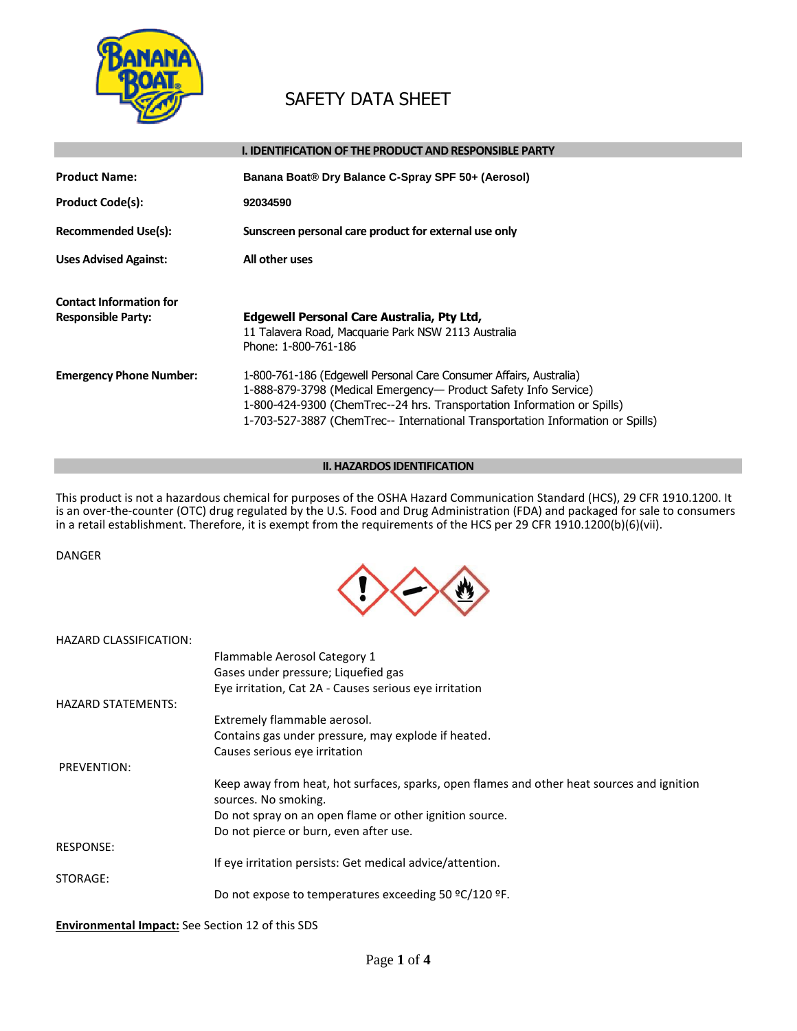

# SAFETY DATA SHEET

|                                                             | <b>I. IDENTIFICATION OF THE PRODUCT AND RESPONSIBLE PARTY</b>                                                                                                                                                                                                                                      |
|-------------------------------------------------------------|----------------------------------------------------------------------------------------------------------------------------------------------------------------------------------------------------------------------------------------------------------------------------------------------------|
| <b>Product Name:</b><br><b>Product Code(s):</b>             | Banana Boat® Dry Balance C-Spray SPF 50+ (Aerosol)<br>92034590                                                                                                                                                                                                                                     |
| <b>Recommended Use(s):</b>                                  | Sunscreen personal care product for external use only                                                                                                                                                                                                                                              |
| <b>Uses Advised Against:</b>                                | All other uses                                                                                                                                                                                                                                                                                     |
| <b>Contact Information for</b><br><b>Responsible Party:</b> | Edgewell Personal Care Australia, Pty Ltd,                                                                                                                                                                                                                                                         |
|                                                             | 11 Talavera Road, Macquarie Park NSW 2113 Australia<br>Phone: 1-800-761-186                                                                                                                                                                                                                        |
| <b>Emergency Phone Number:</b>                              | 1-800-761-186 (Edgewell Personal Care Consumer Affairs, Australia)<br>1-888-879-3798 (Medical Emergency- Product Safety Info Service)<br>1-800-424-9300 (ChemTrec--24 hrs. Transportation Information or Spills)<br>1-703-527-3887 (ChemTrec-- International Transportation Information or Spills) |

# **II. HAZARDOS IDENTIFICATION**

This product is not a hazardous chemical for purposes of the OSHA Hazard Communication Standard (HCS), 29 CFR 1910.1200. It is an over-the-counter (OTC) drug regulated by the U.S. Food and Drug Administration (FDA) and packaged for sale to consumers in a retail establishment. Therefore, it is exempt from the requirements of the HCS per 29 CFR 1910.1200(b)(6)(vii).

#### DANGER

HAZARD CLASSIFICATION:



| Flammable Aerosol Category 1                                   |
|----------------------------------------------------------------|
| Gases under pressure; Liquefie                                 |
| Eye irritation, Cat 2A - Causes s                              |
|                                                                |
| Extremely flammable aerosol.<br>Contains gas under pressure, n |
|                                                                |

| Gases under pressure; Liquefied gas                                                                                |
|--------------------------------------------------------------------------------------------------------------------|
| Eye irritation, Cat 2A - Causes serious eye irritation                                                             |
|                                                                                                                    |
| Extremely flammable aerosol.                                                                                       |
| Contains gas under pressure, may explode if heated.                                                                |
| Causes serious eye irritation                                                                                      |
|                                                                                                                    |
| Keep away from heat, hot surfaces, sparks, open flames and other heat sources and ignition<br>sources. No smoking. |
| Do not spray on an open flame or other ignition source.                                                            |
| Do not pierce or burn, even after use.                                                                             |
|                                                                                                                    |
| If eye irritation persists: Get medical advice/attention.                                                          |
|                                                                                                                    |
| Do not expose to temperatures exceeding 50 °C/120 °F.                                                              |
|                                                                                                                    |

### **Environmental Impact:** See Section 12 of this SDS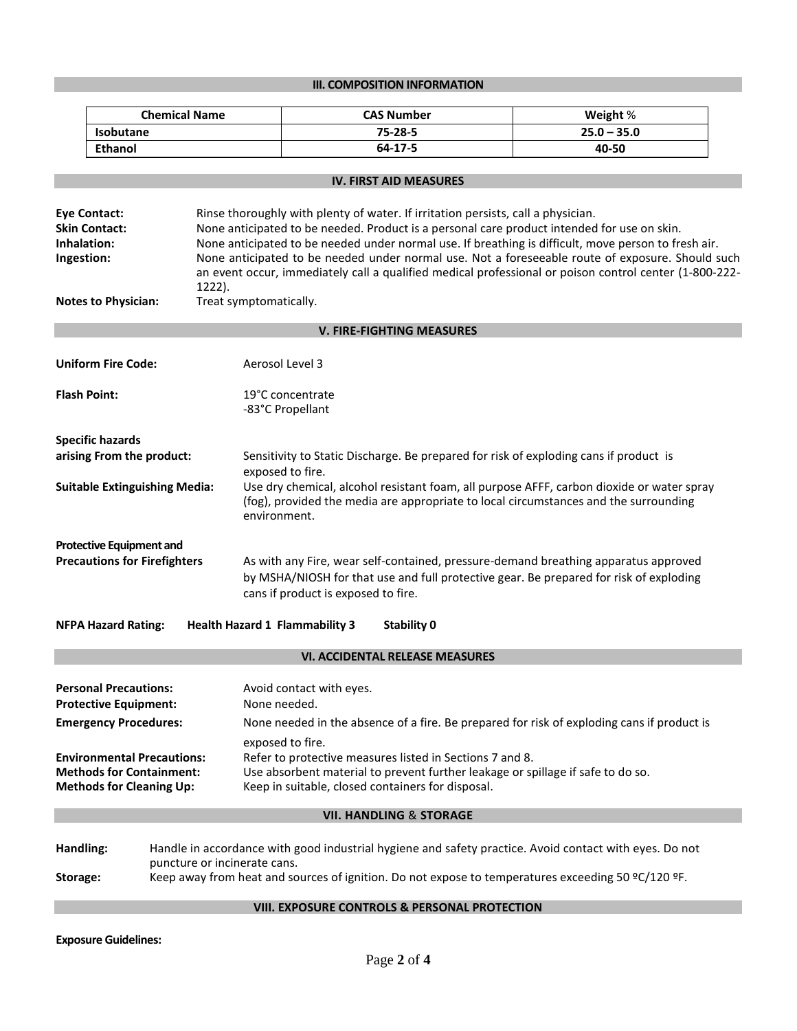# **III. COMPOSITION INFORMATION**

|                                                                                                         | <b>Chemical Name</b>                 |                                                                                                                                                                                                                                                                                                                                                                                                                                                                                                                                 | <b>CAS Number</b>                                                                                                                                                                                | Weight %                                                                                                                                                                                                     |
|---------------------------------------------------------------------------------------------------------|--------------------------------------|---------------------------------------------------------------------------------------------------------------------------------------------------------------------------------------------------------------------------------------------------------------------------------------------------------------------------------------------------------------------------------------------------------------------------------------------------------------------------------------------------------------------------------|--------------------------------------------------------------------------------------------------------------------------------------------------------------------------------------------------|--------------------------------------------------------------------------------------------------------------------------------------------------------------------------------------------------------------|
| <b>Isobutane</b>                                                                                        |                                      |                                                                                                                                                                                                                                                                                                                                                                                                                                                                                                                                 | 75-28-5                                                                                                                                                                                          | $25.0 - 35.0$                                                                                                                                                                                                |
| <b>Ethanol</b>                                                                                          |                                      |                                                                                                                                                                                                                                                                                                                                                                                                                                                                                                                                 | 64-17-5                                                                                                                                                                                          | 40-50                                                                                                                                                                                                        |
|                                                                                                         |                                      |                                                                                                                                                                                                                                                                                                                                                                                                                                                                                                                                 |                                                                                                                                                                                                  |                                                                                                                                                                                                              |
|                                                                                                         |                                      |                                                                                                                                                                                                                                                                                                                                                                                                                                                                                                                                 | <b>IV. FIRST AID MEASURES</b>                                                                                                                                                                    |                                                                                                                                                                                                              |
| <b>Eye Contact:</b><br><b>Skin Contact:</b><br>Inhalation:<br>Ingestion:<br><b>Notes to Physician:</b>  | 1222).                               | Rinse thoroughly with plenty of water. If irritation persists, call a physician.<br>None anticipated to be needed. Product is a personal care product intended for use on skin.<br>None anticipated to be needed under normal use. If breathing is difficult, move person to fresh air.<br>None anticipated to be needed under normal use. Not a foreseeable route of exposure. Should such<br>an event occur, immediately call a qualified medical professional or poison control center (1-800-222-<br>Treat symptomatically. |                                                                                                                                                                                                  |                                                                                                                                                                                                              |
|                                                                                                         |                                      |                                                                                                                                                                                                                                                                                                                                                                                                                                                                                                                                 | <b>V. FIRE-FIGHTING MEASURES</b>                                                                                                                                                                 |                                                                                                                                                                                                              |
|                                                                                                         |                                      |                                                                                                                                                                                                                                                                                                                                                                                                                                                                                                                                 |                                                                                                                                                                                                  |                                                                                                                                                                                                              |
| <b>Uniform Fire Code:</b>                                                                               |                                      | Aerosol Level 3                                                                                                                                                                                                                                                                                                                                                                                                                                                                                                                 |                                                                                                                                                                                                  |                                                                                                                                                                                                              |
| <b>Flash Point:</b>                                                                                     | 19°C concentrate<br>-83°C Propellant |                                                                                                                                                                                                                                                                                                                                                                                                                                                                                                                                 |                                                                                                                                                                                                  |                                                                                                                                                                                                              |
| <b>Specific hazards</b>                                                                                 |                                      |                                                                                                                                                                                                                                                                                                                                                                                                                                                                                                                                 |                                                                                                                                                                                                  |                                                                                                                                                                                                              |
| arising From the product:                                                                               |                                      |                                                                                                                                                                                                                                                                                                                                                                                                                                                                                                                                 |                                                                                                                                                                                                  | Sensitivity to Static Discharge. Be prepared for risk of exploding cans if product is                                                                                                                        |
| <b>Suitable Extinguishing Media:</b>                                                                    |                                      | exposed to fire.<br>environment.                                                                                                                                                                                                                                                                                                                                                                                                                                                                                                |                                                                                                                                                                                                  | Use dry chemical, alcohol resistant foam, all purpose AFFF, carbon dioxide or water spray<br>(fog), provided the media are appropriate to local circumstances and the surrounding                            |
| <b>Protective Equipment and</b><br><b>Precautions for Firefighters</b>                                  |                                      | cans if product is exposed to fire.                                                                                                                                                                                                                                                                                                                                                                                                                                                                                             |                                                                                                                                                                                                  | As with any Fire, wear self-contained, pressure-demand breathing apparatus approved<br>by MSHA/NIOSH for that use and full protective gear. Be prepared for risk of exploding                                |
| <b>NFPA Hazard Rating:</b>                                                                              |                                      | <b>Health Hazard 1 Flammability 3</b>                                                                                                                                                                                                                                                                                                                                                                                                                                                                                           | <b>Stability 0</b>                                                                                                                                                                               |                                                                                                                                                                                                              |
|                                                                                                         |                                      |                                                                                                                                                                                                                                                                                                                                                                                                                                                                                                                                 | <b>VI. ACCIDENTAL RELEASE MEASURES</b>                                                                                                                                                           |                                                                                                                                                                                                              |
| <b>Personal Precautions:</b><br><b>Protective Equipment:</b><br><b>Emergency Procedures:</b>            |                                      | Avoid contact with eyes.<br>None needed.                                                                                                                                                                                                                                                                                                                                                                                                                                                                                        |                                                                                                                                                                                                  | None needed in the absence of a fire. Be prepared for risk of exploding cans if product is                                                                                                                   |
| <b>Environmental Precautions:</b><br><b>Methods for Containment:</b><br><b>Methods for Cleaning Up:</b> |                                      | exposed to fire.                                                                                                                                                                                                                                                                                                                                                                                                                                                                                                                | Refer to protective measures listed in Sections 7 and 8.<br>Use absorbent material to prevent further leakage or spillage if safe to do so.<br>Keep in suitable, closed containers for disposal. |                                                                                                                                                                                                              |
|                                                                                                         |                                      |                                                                                                                                                                                                                                                                                                                                                                                                                                                                                                                                 | <b>VII. HANDLING &amp; STORAGE</b>                                                                                                                                                               |                                                                                                                                                                                                              |
| Handling:<br>Storage:                                                                                   | puncture or incinerate cans.         |                                                                                                                                                                                                                                                                                                                                                                                                                                                                                                                                 |                                                                                                                                                                                                  | Handle in accordance with good industrial hygiene and safety practice. Avoid contact with eyes. Do not<br>Keep away from heat and sources of ignition. Do not expose to temperatures exceeding 50 °C/120 °F. |
|                                                                                                         |                                      |                                                                                                                                                                                                                                                                                                                                                                                                                                                                                                                                 | VIII. EXPOSURE CONTROLS & PERSONAL PROTECTION                                                                                                                                                    |                                                                                                                                                                                                              |

**Exposure Guidelines:**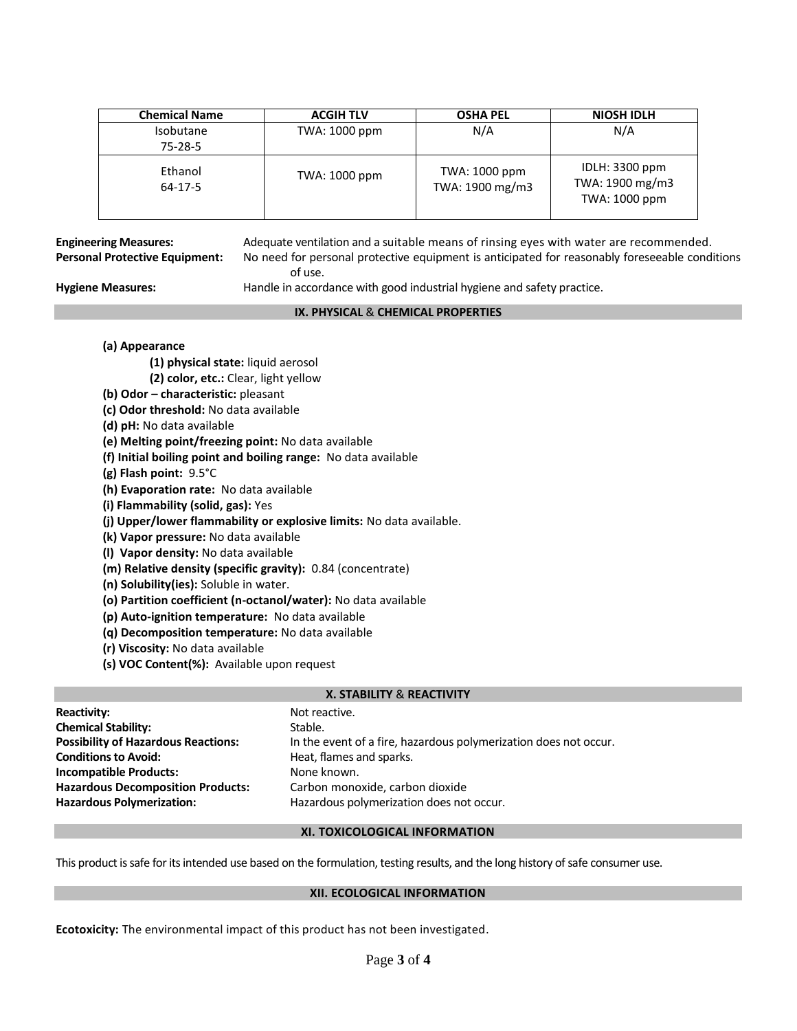| <b>Chemical Name</b>        | <b>ACGIH TLV</b> | <b>OSHA PEL</b>                  | NIOSH IDLH                                         |
|-----------------------------|------------------|----------------------------------|----------------------------------------------------|
| <b>Isobutane</b><br>75-28-5 | TWA: 1000 ppm    | N/A                              | N/A                                                |
| Ethanol<br>$64 - 17 - 5$    | TWA: 1000 ppm    | TWA: 1000 ppm<br>TWA: 1900 mg/m3 | IDLH: 3300 ppm<br>TWA: 1900 mg/m3<br>TWA: 1000 ppm |

**Engineering Measures:** Adequate ventilation and a suitable means of rinsing eyes with water are recommended. **Personal Protective Equipment:** No need for personal protective equipment is anticipated for reasonably foreseeable conditions of use.

**Hygiene Measures:** Handle in accordance with good industrial hygiene and safety practice.

### **IX. PHYSICAL** & **CHEMICAL PROPERTIES**

# **(a) Appearance**

- **(1) physical state:** liquid aerosol
- **(2) color, etc.:** Clear, light yellow
- **(b) Odor – characteristic:** pleasant
- **(c) Odor threshold:** No data available
- **(d) pH:** No data available
- **(e) Melting point/freezing point:** No data available
- **(f) Initial boiling point and boiling range:** No data available
- **(g) Flash point:** 9.5°C
- **(h) Evaporation rate:** No data available
- **(i) Flammability (solid, gas):** Yes
- **(j) Upper/lower flammability or explosive limits:** No data available.
- **(k) Vapor pressure:** No data available
- **(l) Vapor density:** No data available
- **(m) Relative density (specific gravity):** 0.84 (concentrate)
- **(n) Solubility(ies):** Soluble in water.
- **(o) Partition coefficient (n-octanol/water):** No data available
- **(p) Auto-ignition temperature:** No data available
- **(q) Decomposition temperature:** No data available
- **(r) Viscosity:** No data available
- **(s) VOC Content(%):** Available upon request

# **X. STABILITY** & **REACTIVITY**

| <b>Reactivity:</b>                         | Not reactive.                                                    |
|--------------------------------------------|------------------------------------------------------------------|
| <b>Chemical Stability:</b>                 | Stable.                                                          |
| <b>Possibility of Hazardous Reactions:</b> | In the event of a fire, hazardous polymerization does not occur. |
| <b>Conditions to Avoid:</b>                | Heat, flames and sparks.                                         |
| <b>Incompatible Products:</b>              | None known.                                                      |
| <b>Hazardous Decomposition Products:</b>   | Carbon monoxide, carbon dioxide                                  |
| <b>Hazardous Polymerization:</b>           | Hazardous polymerization does not occur.                         |

# **XI. TOXICOLOGICAL INFORMATION**

This product is safe for its intended use based on the formulation, testing results, and the long history of safe consumer use.

# **XII. ECOLOGICAL INFORMATION**

**Ecotoxicity:** The environmental impact of this product has not been investigated.